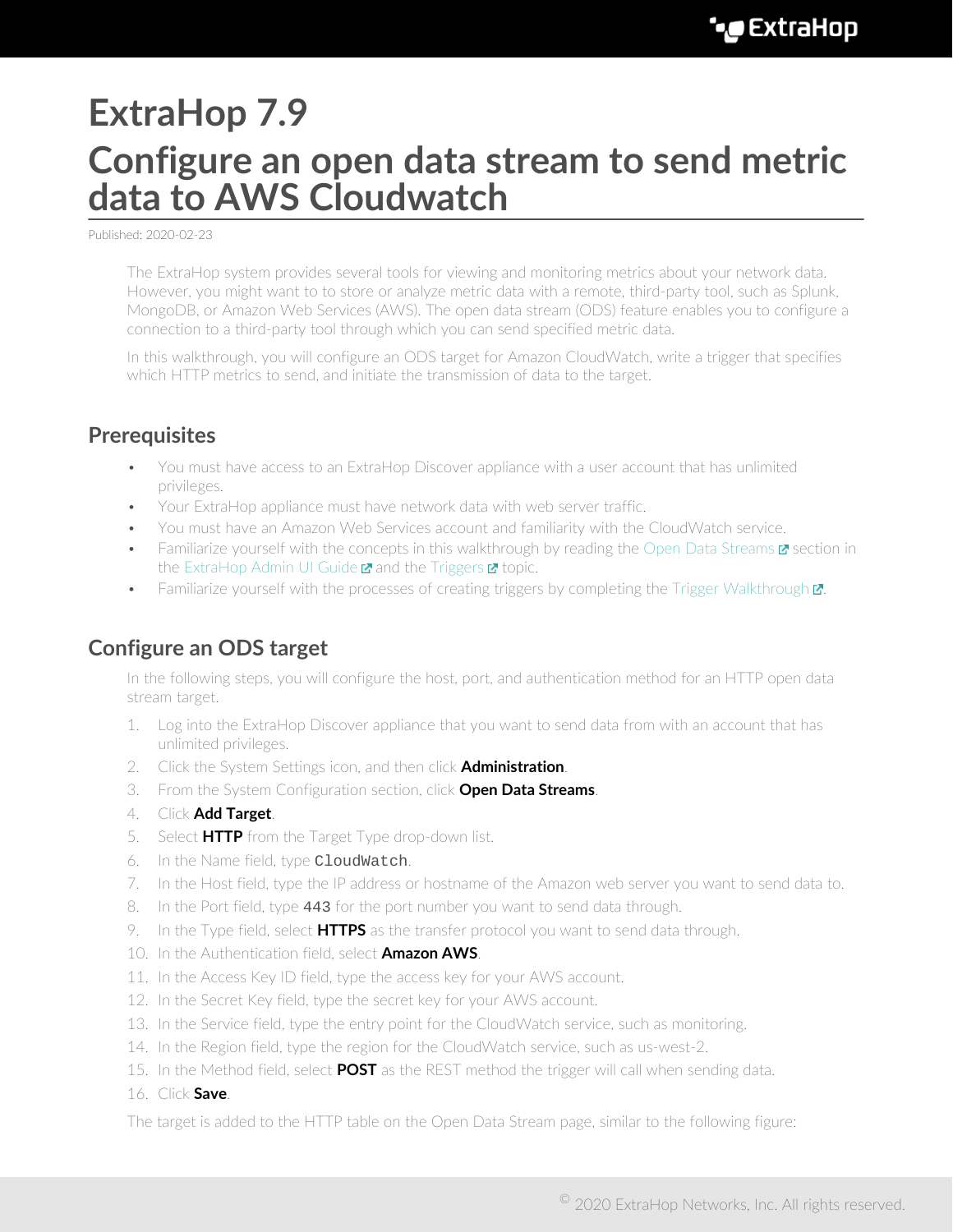# **ExtraHop 7.9 Configure an open data stream to send metric data to AWS Cloudwatch**

Published: 2020-02-23

The ExtraHop system provides several tools for viewing and monitoring metrics about your network data. However, you might want to to store or analyze metric data with a remote, third-party tool, such as Splunk, MongoDB, or Amazon Web Services (AWS). The open data stream (ODS) feature enables you to configure a connection to a third-party tool through which you can send specified metric data.

In this walkthrough, you will configure an ODS target for Amazon CloudWatch, write a trigger that specifies which HTTP metrics to send, and initiate the transmission of data to the target.

### **Prerequisites**

- You must have access to an ExtraHop Discover appliance with a user account that has unlimited privileges.
- Your ExtraHop appliance must have network data with web server traffic.
- You must have an Amazon Web Services account and familiarity with the CloudWatch service.
- Familiarize yourself with the concepts in this walkthrough by reading the [Open Data Streams](https://docs.extrahop.com/7.9/eh-admin-ui-guide/#open-data-streams) **a** section in the [ExtraHop Admin UI Guide](https://docs.extrahop.com/7.9/eh-admin-ui-guide/)  $\blacksquare$  and the [Triggers](https://docs.extrahop.com/7.9/triggers-overview)  $\blacksquare$  topic.
- Familiarize yourself with the processes of creating triggers by completing the Trigger Walkthrough  $\mathbb{Z}$ .

#### **Configure an ODS target**

In the following steps, you will configure the host, port, and authentication method for an HTTP open data stream target.

- 1. Log into the ExtraHop Discover appliance that you want to send data from with an account that has unlimited privileges.
- 2. Click the System Settings icon, and then click **Administration**.
- 3. From the System Configuration section, click **Open Data Streams**.
- 4. Click **Add Target**.
- 5. Select **HTTP** from the Target Type drop-down list.
- 6. In the Name field, type CloudWatch.
- 7. In the Host field, type the IP address or hostname of the Amazon web server you want to send data to.
- 8. In the Port field, type 443 for the port number you want to send data through.
- 9. In the Type field, select **HTTPS** as the transfer protocol you want to send data through.
- 10. In the Authentication field, select **Amazon AWS**.
- 11. In the Access Key ID field, type the access key for your AWS account.
- 12. In the Secret Key field, type the secret key for your AWS account.
- 13. In the Service field, type the entry point for the CloudWatch service, such as monitoring.
- 14. In the Region field, type the region for the CloudWatch service, such as us-west-2.
- 15. In the Method field, select **POST** as the REST method the trigger will call when sending data.
- 16. Click **Save**.

The target is added to the HTTP table on the Open Data Stream page, similar to the following figure: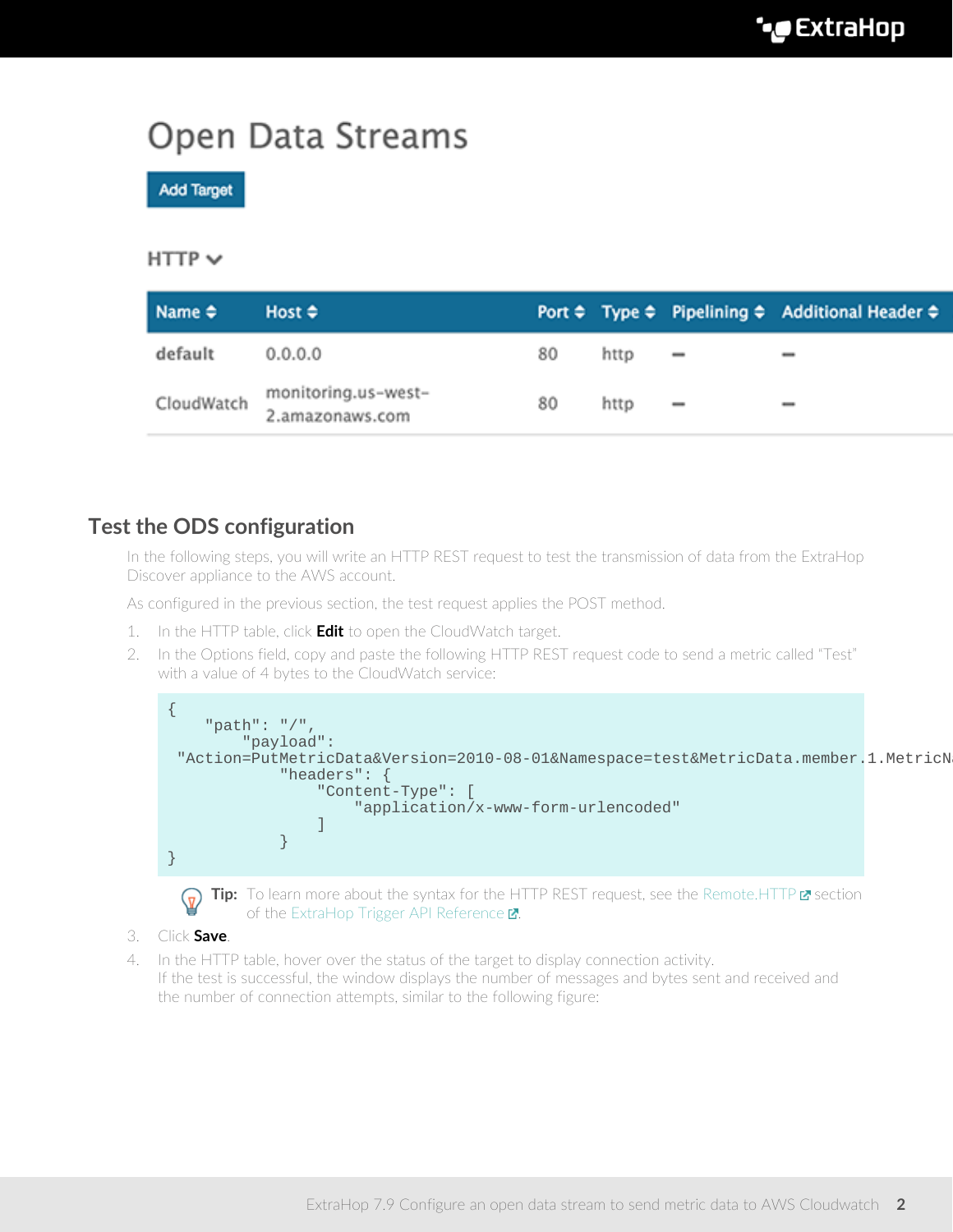## Open Data Streams

**Add Target** 

#### $HTTP$   $\vee$

| $Name \Leftrightarrow$ | Host $\div$                            |    |      |                              | Port $\Leftrightarrow$ Type $\Leftrightarrow$ Pipelining $\Leftrightarrow$ Additional Header $\Leftrightarrow$ |
|------------------------|----------------------------------------|----|------|------------------------------|----------------------------------------------------------------------------------------------------------------|
| default                | 0.0.0.0                                | 80 | http |                              |                                                                                                                |
| CloudWatch             | monitoring.us-west-<br>2.amazonaws.com | 80 | http | $\qquad \qquad \blacksquare$ | $\overline{\phantom{a}}$                                                                                       |

#### **Test the ODS configuration**

In the following steps, you will write an HTTP REST request to test the transmission of data from the ExtraHop Discover appliance to the AWS account.

As configured in the previous section, the test request applies the POST method.

- 1. In the HTTP table, click **Edit** to open the CloudWatch target.
- 2. In the Options field, copy and paste the following HTTP REST request code to send a metric called "Test" with a value of 4 bytes to the CloudWatch service:





Tip: To learn more about the syntax for the HTTP REST request, see the [Remote.HTTP](https://docs.extrahop.com/7.9/extrahop-trigger-api/#remote.http) **E** section of the ExtraHop Trigger API Reference  $\mathbb{Z}$ .

- 3. Click **Save**.
- 4. In the HTTP table, hover over the status of the target to display connection activity. If the test is successful, the window displays the number of messages and bytes sent and received and the number of connection attempts, similar to the following figure: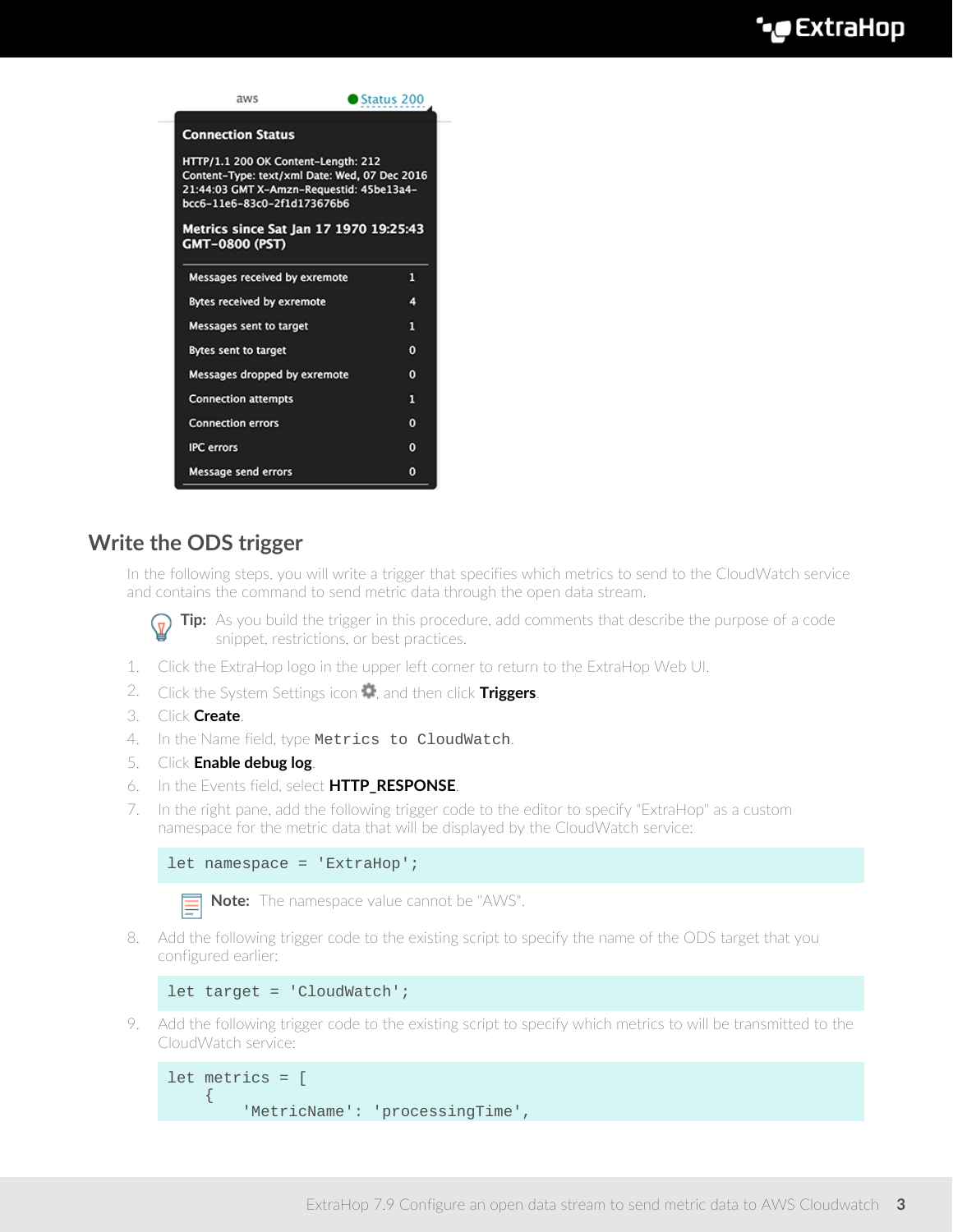

### **Write the ODS trigger**

In the following steps, you will write a trigger that specifies which metrics to send to the CloudWatch service and contains the command to send metric data through the open data stream.

**Tip:** As you build the trigger in this procedure, add comments that describe the purpose of a code snippet, restrictions, or best practices.

- 1. Click the ExtraHop logo in the upper left corner to return to the ExtraHop Web UI.
- 2. Click the System Settings icon , and then click **Triggers**.
- 3. Click **Create**.
- 4. In the Name field, type Metrics to CloudWatch.
- 5. Click **Enable debug log**.
- 6. In the Events field, select **HTTP\_RESPONSE**.
- 7. In the right pane, add the following trigger code to the editor to specify "ExtraHop" as a custom namespace for the metric data that will be displayed by the CloudWatch service:

```
let namespace = 'ExtraHop';
```
**Note:** The namespace value cannot be "AWS".

8. Add the following trigger code to the existing script to specify the name of the ODS target that you configured earlier:

```
let target = 'CloudWatch';
```
9. Add the following trigger code to the existing script to specify which metrics to will be transmitted to the CloudWatch service:

```
let metrics = [
    \{ 'MetricName': 'processingTime',
```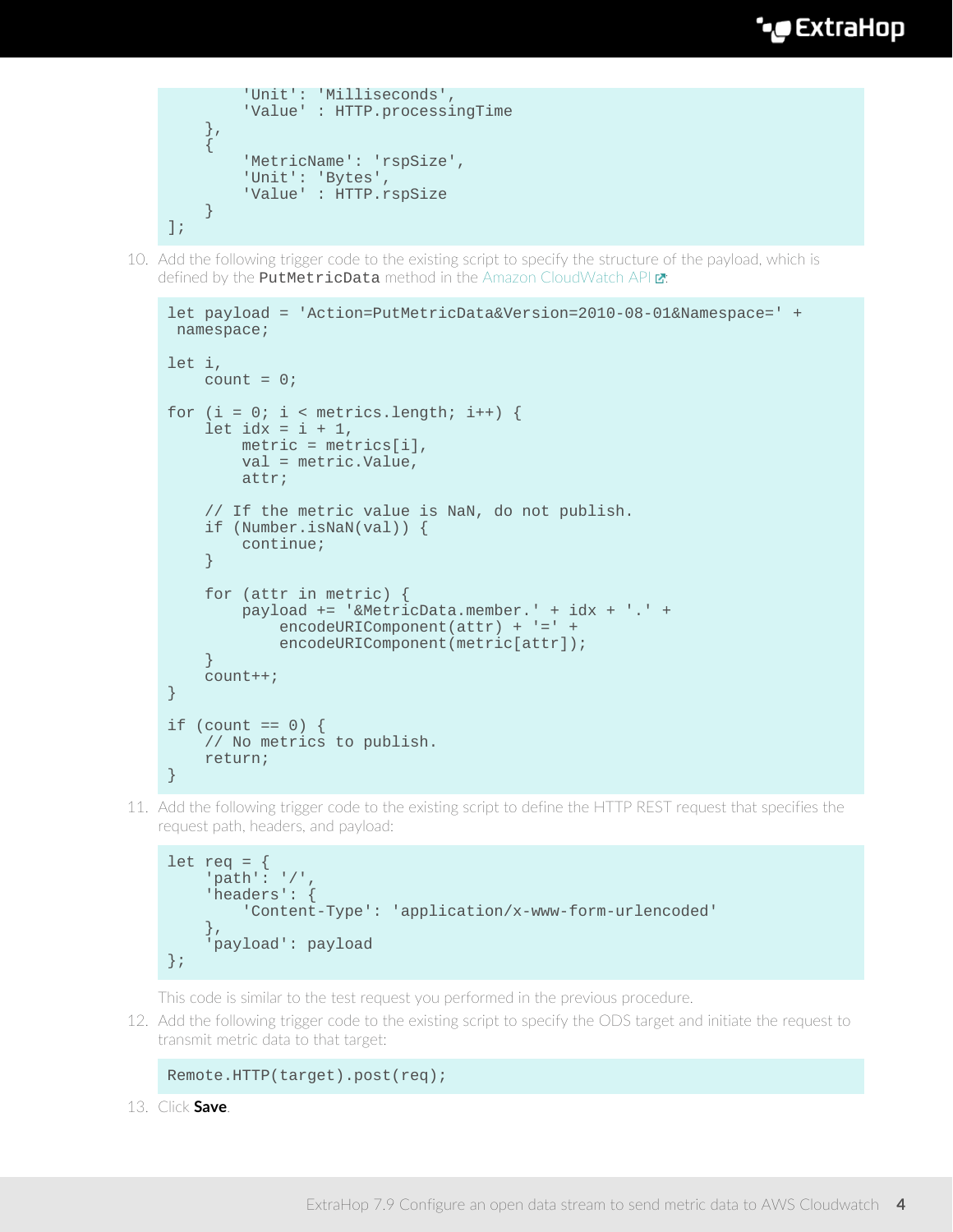```
 'Unit': 'Milliseconds',
            'Value' : HTTP.processingTime
       },
\left\{\begin{array}{c} \end{array}\right\} 'MetricName': 'rspSize',
           'Unit': 'Bytes',
           'Value' : HTTP.rspSize
      }
];
```
10. Add the following trigger code to the existing script to specify the structure of the payload, which is defined by the **PutMetricData** method in the [Amazon CloudWatch API](http://docs.aws.amazon.com/AmazonCloudWatch/latest/APIReference/API_PutMetricData.html) **E**:

```
let payload = 'Action=PutMetricData&Version=2010-08-01&Namespace=' +
 namespace;
let i,
   count = 0;for (i = 0; i < metrics.length; i++) {
    let idx = i + 1,
        metric = metrics[i],
        val = metric.Value,
        attr;
     // If the metric value is NaN, do not publish.
     if (Number.isNaN(val)) {
        continue;
     }
     for (attr in metric) {
        payload += '&MetricData.member.' + idx + '.' +
             encodeURIComponent(attr) + '=' +
            encodeURIComponent(metric[attr]);
 }
     count++;
}
if (count == 0) {
    // No metrics to publish.
    return;
}
```
11. Add the following trigger code to the existing script to define the HTTP REST request that specifies the request path, headers, and payload:

```
let req = { 'path': '/',
     'headers': {
         'Content-Type': 'application/x-www-form-urlencoded'
     },
     'payload': payload
};
```
This code is similar to the test request you performed in the previous procedure.

12. Add the following trigger code to the existing script to specify the ODS target and initiate the request to transmit metric data to that target:

```
Remote.HTTP(target).post(req);
```
13. Click **Save**.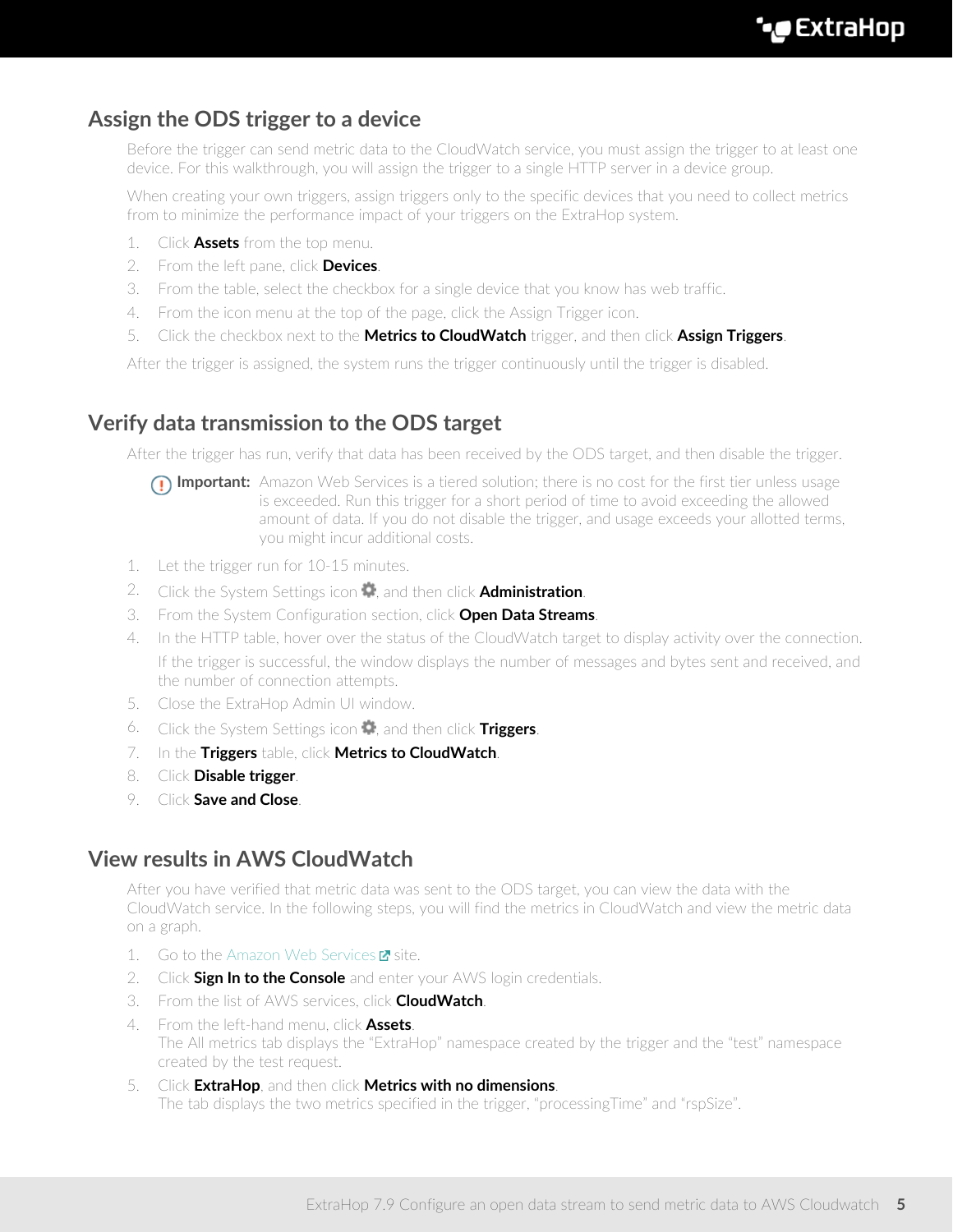### **Assign the ODS trigger to a device**

Before the trigger can send metric data to the CloudWatch service, you must assign the trigger to at least one device. For this walkthrough, you will assign the trigger to a single HTTP server in a device group.

When creating your own triggers, assign triggers only to the specific devices that you need to collect metrics from to minimize the performance impact of your triggers on the ExtraHop system.

- 1. Click **Assets** from the top menu.
- 2. From the left pane, click **Devices**.
- 3. From the table, select the checkbox for a single device that you know has web traffic.
- 4. From the icon menu at the top of the page, click the Assign Trigger icon.
- 5. Click the checkbox next to the **Metrics to CloudWatch** trigger, and then click **Assign Triggers**.

After the trigger is assigned, the system runs the trigger continuously until the trigger is disabled.

#### **Verify data transmission to the ODS target**

After the trigger has run, verify that data has been received by the ODS target, and then disable the trigger.

- **Important:** Amazon Web Services is a tiered solution; there is no cost for the first tier unless usage is exceeded. Run this trigger for a short period of time to avoid exceeding the allowed amount of data. If you do not disable the trigger, and usage exceeds your allotted terms, you might incur additional costs.
- 1. Let the trigger run for 10-15 minutes.
- 2. Click the System Settings icon , and then click **Administration**.
- 3. From the System Configuration section, click **Open Data Streams**.
- 4. In the HTTP table, hover over the status of the CloudWatch target to display activity over the connection. If the trigger is successful, the window displays the number of messages and bytes sent and received, and the number of connection attempts.
- 5. Close the ExtraHop Admin UI window.
- 6. Click the System Settings icon , and then click **Triggers**.
- 7. In the **Triggers** table, click **Metrics to CloudWatch**.
- 8. Click **Disable trigger**.
- 9. Click **Save and Close**.

#### **View results in AWS CloudWatch**

After you have verified that metric data was sent to the ODS target, you can view the data with the CloudWatch service. In the following steps, you will find the metrics in CloudWatch and view the metric data on a graph.

- 1. Go to the [Amazon Web Services](https://aws.amazon.com/)  $\blacksquare$  site.
- 2. Click **Sign In to the Console** and enter your AWS login credentials.
- 3. From the list of AWS services, click **CloudWatch**.
- 4. From the left-hand menu, click **Assets**. The All metrics tab displays the "ExtraHop" namespace created by the trigger and the "test" namespace created by the test request.
- 5. Click **ExtraHop**, and then click **Metrics with no dimensions**. The tab displays the two metrics specified in the trigger, "processingTime" and "rspSize".